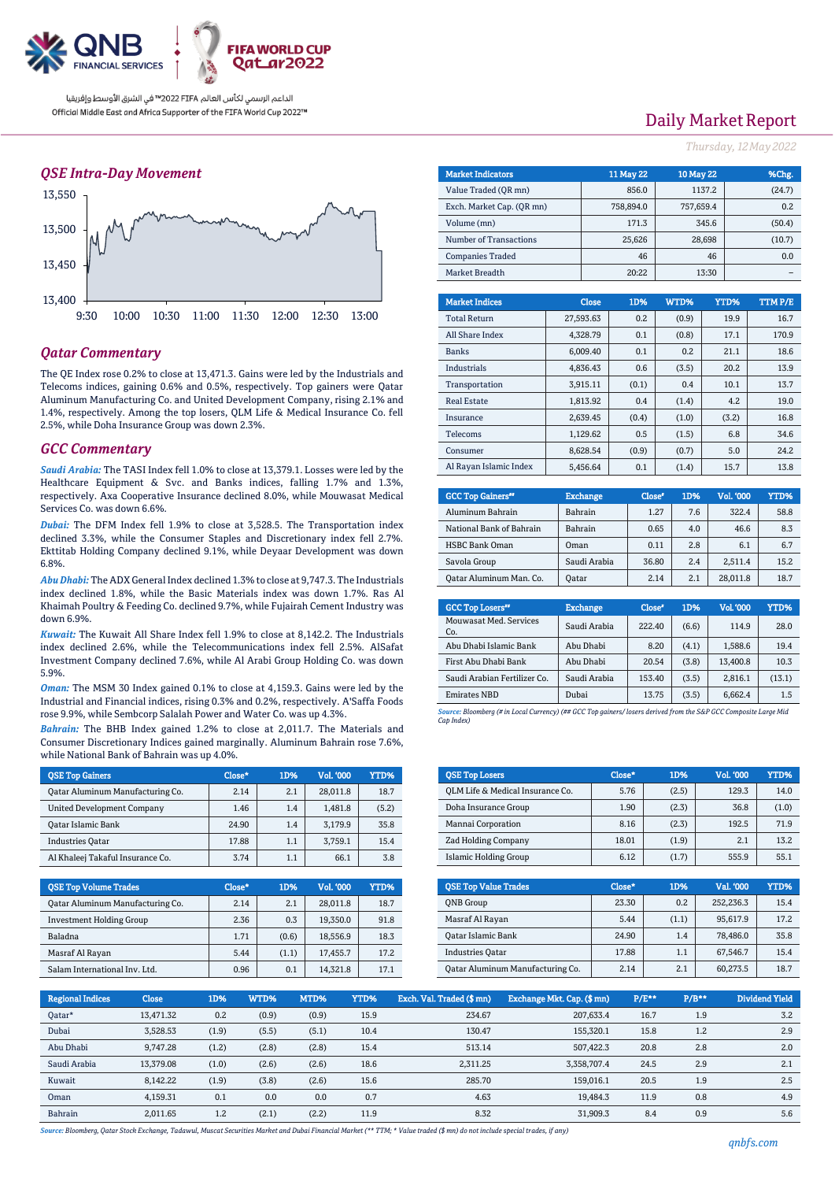

### *QSE Intra-Day Movement*



### *Qatar Commentary*

The QE Index rose 0.2% to close at 13,471.3. Gains were led by the Industrials and Telecoms indices, gaining 0.6% and 0.5%, respectively. Top gainers were Qatar Aluminum Manufacturing Co. and United Development Company, rising 2.1% and 1.4%, respectively. Among the top losers, QLM Life & Medical Insurance Co. fell 2.5%, while Doha Insurance Group was down 2.3%.

#### *GCC Commentary*

*Saudi Arabia:* The TASI Index fell 1.0% to close at 13,379.1. Losses were led by the Healthcare Equipment & Svc. and Banks indices, falling 1.7% and 1.3%, respectively. Axa Cooperative Insurance declined 8.0%, while Mouwasat Medical Services Co. was down 6.6%.

*Dubai:* The DFM Index fell 1.9% to close at 3,528.5. The Transportation index declined 3.3%, while the Consumer Staples and Discretionary index fell 2.7%. Ekttitab Holding Company declined 9.1%, while Deyaar Development was down 6.8%.

*Abu Dhabi:* The ADX General Index declined 1.3% to close at 9,747.3. The Industrials index declined 1.8%, while the Basic Materials index was down 1.7%. Ras Al Khaimah Poultry & Feeding Co. declined 9.7%, while Fujairah Cement Industry was down 6.9%.

*Kuwait:* The Kuwait All Share Index fell 1.9% to close at 8,142.2. The Industrials index declined 2.6%, while the Telecommunications index fell 2.5%. AlSafat Investment Company declined 7.6%, while Al Arabi Group Holding Co. was down 5.9%.

*Oman:* The MSM 30 Index gained 0.1% to close at 4,159.3. Gains were led by the Industrial and Financial indices, rising 0.3% and 0.2%, respectively. A'Saffa Foods rose 9.9%, while Sembcorp Salalah Power and Water Co. was up 4.3%.

*Bahrain:* The BHB Index gained 1.2% to close at 2,011.7. The Materials and Consumer Discretionary Indices gained marginally. Aluminum Bahrain rose 7.6%, while National Bank of Bahrain was up 4.0%.

| <b>OSE Top Gainers</b>            | Close* | 1D% | Vol. '000 | YTD%  |
|-----------------------------------|--------|-----|-----------|-------|
| Qatar Aluminum Manufacturing Co.  | 2.14   | 2.1 | 28,011.8  | 18.7  |
| <b>United Development Company</b> | 1.46   | 1.4 | 1.481.8   | (5.2) |
| <b>Oatar Islamic Bank</b>         | 24.90  | 1.4 | 3,179.9   | 35.8  |
| <b>Industries Oatar</b>           | 17.88  | 1.1 | 3.759.1   | 15.4  |
| Al Khaleei Takaful Insurance Co.  | 3.74   | 1.1 | 66.1      | 3.8   |

| <b>OSE Top Volume Trades</b>     | Close* | <b>1D%</b> | Vol. '000 | YTD% |
|----------------------------------|--------|------------|-----------|------|
| Oatar Aluminum Manufacturing Co. | 2.14   | 2.1        | 28,011.8  | 18.7 |
| <b>Investment Holding Group</b>  | 2.36   | 0.3        | 19,350.0  | 91.8 |
| Baladna                          | 1.71   | (0.6)      | 18,556.9  | 18.3 |
| Masraf Al Rayan                  | 5.44   | (1.1)      | 17.455.7  | 17.2 |
| Salam International Inv. Ltd.    | 0.96   | 0.1        | 14.321.8  | 17.1 |

# Daily Market Report

*Thursday, 12May2022*

| <b>Market Indicators</b>  | <b>11 May 22</b> | <b>10 May 22</b> | %Chg.  |
|---------------------------|------------------|------------------|--------|
| Value Traded (OR mn)      | 856.0            | 1137.2           | (24.7) |
| Exch. Market Cap. (OR mn) | 758.894.0        | 757,659.4        | 0.2    |
| Volume (mn)               | 171.3            | 345.6            | (50.4) |
| Number of Transactions    | 25,626           | 28,698           | (10.7) |
| <b>Companies Traded</b>   | 46               | 46               | 0.0    |
| Market Breadth            | 20:22            | 13:30            |        |
|                           |                  |                  |        |

| <b>Market Indices</b>  | <b>Close</b> | 1D%   | WTD%  | YTD%  | <b>TTMP/E</b> |
|------------------------|--------------|-------|-------|-------|---------------|
| <b>Total Return</b>    | 27,593.63    | 0.2   | (0.9) | 19.9  | 16.7          |
| All Share Index        | 4.328.79     | 0.1   | (0.8) | 17.1  | 170.9         |
| <b>Banks</b>           | 6.009.40     | 0.1   | 0.2   | 21.1  | 18.6          |
| <b>Industrials</b>     | 4.836.43     | 0.6   | (3.5) | 20.2  | 13.9          |
| Transportation         | 3.915.11     | (0.1) | 0.4   | 10.1  | 13.7          |
| <b>Real Estate</b>     | 1,813.92     | 0.4   | (1.4) | 4.2   | 19.0          |
| Insurance              | 2.639.45     | (0.4) | (1.0) | (3.2) | 16.8          |
| Telecoms               | 1,129.62     | 0.5   | (1.5) | 6.8   | 34.6          |
| Consumer               | 8.628.54     | (0.9) | (0.7) | 5.0   | 24.2          |
| Al Rayan Islamic Index | 5,456.64     | 0.1   | (1.4) | 15.7  | 13.8          |

| <b>GCC Top Gainers</b> " | <b>Exchange</b> | Close* | 1D% | Vol. '000 | YTD% |
|--------------------------|-----------------|--------|-----|-----------|------|
| Aluminum Bahrain         | Bahrain         | 1.27   | 7.6 | 322.4     | 58.8 |
| National Bank of Bahrain | Bahrain         | 0.65   | 4.0 | 46.6      | 8.3  |
| <b>HSBC Bank Oman</b>    | Oman            | 0.11   | 2.8 | 6.1       | 6.7  |
| Savola Group             | Saudi Arabia    | 36.80  | 2.4 | 2.511.4   | 15.2 |
| Oatar Aluminum Man. Co.  | Oatar           | 2.14   | 2.1 | 28.011.8  | 18.7 |

| <b>GCC Top Losers</b> "       | <b>Exchange</b> | Close <sup>®</sup> | 1D%   | <b>Vol.'000</b> | YTD%   |
|-------------------------------|-----------------|--------------------|-------|-----------------|--------|
| Mouwasat Med. Services<br>Co. | Saudi Arabia    | 222.40             | (6.6) | 114.9           | 28.0   |
| Abu Dhabi Islamic Bank        | Abu Dhabi       | 8.20               | (4.1) | 1,588.6         | 19.4   |
| First Abu Dhabi Bank          | Abu Dhabi       | 20.54              | (3.8) | 13,400.8        | 10.3   |
| Saudi Arabian Fertilizer Co.  | Saudi Arabia    | 153.40             | (3.5) | 2,816.1         | (13.1) |
| <b>Emirates NBD</b>           | Dubai           | 13.75              | (3.5) | 6,662.4         | 1.5    |
|                               |                 |                    |       |                 |        |

*Source: Bloomberg (# in Local Currency) (## GCC Top gainers/ losers derived from the S&P GCC Composite Large Mid Cap Index)*

| <b>OSE Top Losers</b>            | $Close*$ | 1D%   | Vol. '000 | <b>YTD%</b> |
|----------------------------------|----------|-------|-----------|-------------|
| OLM Life & Medical Insurance Co. | 5.76     | (2.5) | 129.3     | 14.0        |
| Doha Insurance Group             | 1.90     | (2.3) | 36.8      | (1.0)       |
| Mannai Corporation               | 8.16     | (2.3) | 192.5     | 71.9        |
| <b>Zad Holding Company</b>       | 18.01    | (1.9) | 2.1       | 13.2        |
| Islamic Holding Group            | 6.12     | (1.7) | 555.9     | 55.1        |

| <b>OSE Top Value Trades</b>      | Close* | 1D%     | Val. '000 | YTD% |
|----------------------------------|--------|---------|-----------|------|
| <b>ONB</b> Group                 | 23.30  | 0.2     | 252.236.3 | 15.4 |
| Masraf Al Rayan                  | 5.44   | (1.1)   | 95,617.9  | 17.2 |
| <b>Oatar Islamic Bank</b>        | 24.90  | 1.4     | 78.486.0  | 35.8 |
| <b>Industries Oatar</b>          | 17.88  | $1.1\,$ | 67.546.7  | 15.4 |
| Oatar Aluminum Manufacturing Co. | 2.14   | 2.1     | 60,273.5  | 18.7 |

| <b>Regional Indices</b> | <b>Close</b> | 1D%   | WTD%  | MTD%  | YTD% | Exch. Val. Traded (\$ mn) | Exchange Mkt. Cap. (\$mn) | $P/E***$ | $P/B**$ | Dividend Yield |
|-------------------------|--------------|-------|-------|-------|------|---------------------------|---------------------------|----------|---------|----------------|
| Qatar*                  | 13.471.32    | 0.2   | (0.9) | (0.9) | 15.9 | 234.67                    | 207.633.4                 | 16.7     | 1.9     | 3.2            |
| Dubai                   | 3,528.53     | (1.9) | (5.5) | (5.1) | 10.4 | 130.47                    | 155.320.1                 | 15.8     | 1.2     | 2.9            |
| Abu Dhabi               | 9,747.28     | (1.2) | (2.8) | (2.8) | 15.4 | 513.14                    | 507,422.3                 | 20.8     | 2.8     | 2.0            |
| Saudi Arabia            | 13.379.08    | (1.0) | (2.6) | (2.6) | 18.6 | 2.311.25                  | 3.358.707.4               | 24.5     | 2.9     | 2.1            |
| Kuwait                  | 8,142.22     | (1.9) | (3.8) | (2.6) | 15.6 | 285.70                    | 159.016.1                 | 20.5     | 1.9     | 2.5            |
| Oman                    | 4.159.31     | 0.1   | 0.0   | 0.0   | 0.7  | 4.63                      | 19.484.3                  | 11.9     | 0.8     | 4.9            |
| Bahrain                 | 2,011.65     | 1.2   | (2.1) | (2.2) | 11.9 | 8.32                      | 31.909.3                  | 8.4      | 0.9     | 5.6            |

*Source: Bloomberg, Qatar Stock Exchange, Tadawul, Muscat Securities Market and Dubai Financial Market (\*\* TTM; \* Value traded (\$ mn) do not include special trades, if any)*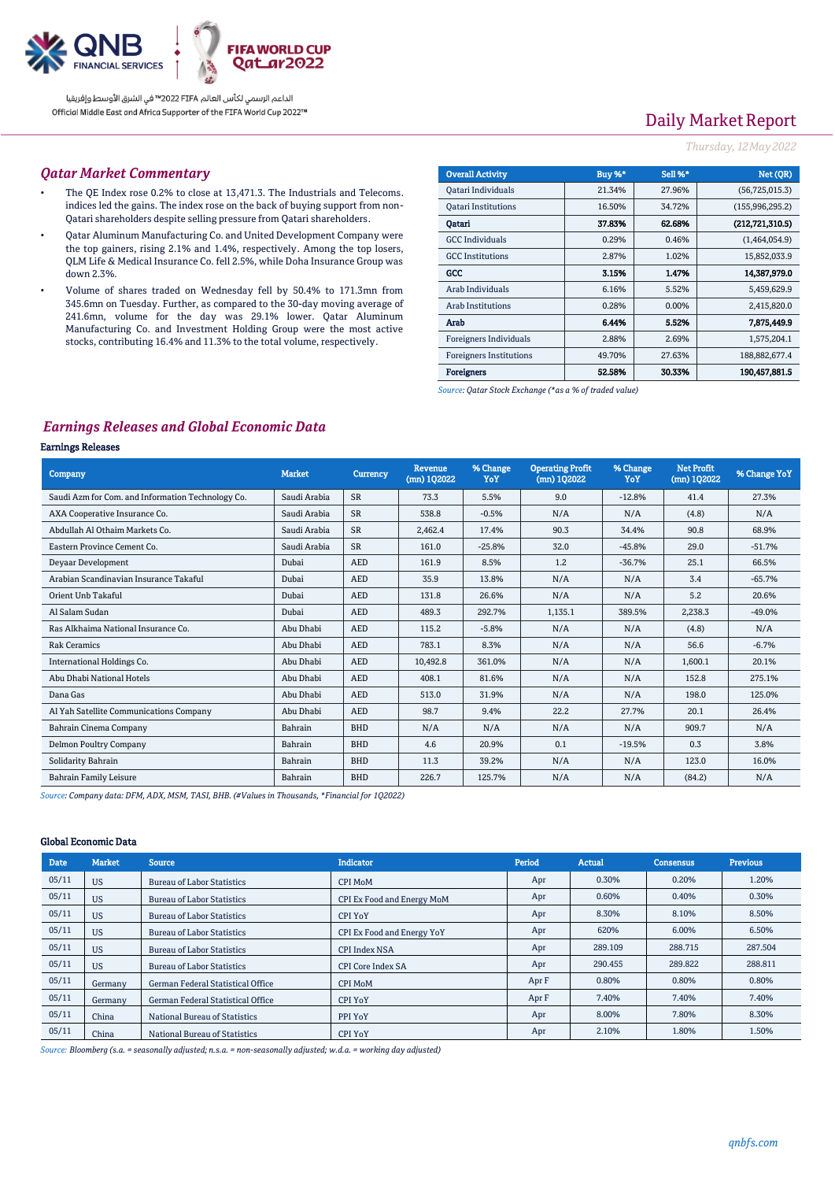

# Daily Market Report

#### *Thursday, 12May2022*

#### *Qatar Market Commentary*

- The QE Index rose 0.2% to close at 13,471.3. The Industrials and Telecoms. indices led the gains. The index rose on the back of buying support from non-Qatari shareholders despite selling pressure from Qatari shareholders.
- Qatar Aluminum Manufacturing Co. and United Development Company were the top gainers, rising 2.1% and 1.4%, respectively. Among the top losers, QLM Life & Medical Insurance Co. fell 2.5%, while Doha Insurance Group was down 2.3%.
- Volume of shares traded on Wednesday fell by 50.4% to 171.3mn from 345.6mn on Tuesday. Further, as compared to the 30-day moving average of 241.6mn, volume for the day was 29.1% lower. Qatar Aluminum Manufacturing Co. and Investment Holding Group were the most active stocks, contributing 16.4% and 11.3% to the total volume, respectively.

| <b>Overall Activity</b>        | Buy %* | Sell %*  | Net (OR)          |
|--------------------------------|--------|----------|-------------------|
| Qatari Individuals             | 21.34% | 27.96%   | (56, 725, 015.3)  |
| <b>Oatari Institutions</b>     | 16.50% | 34.72%   | (155, 996, 295.2) |
| Oatari                         | 37.83% | 62.68%   | (212.721.310.5)   |
| <b>GCC</b> Individuals         | 0.29%  | 0.46%    | (1,464,054.9)     |
| <b>GCC</b> Institutions        | 2.87%  | 1.02%    | 15,852,033.9      |
| GCC                            | 3.15%  | 1.47%    | 14.387,979.0      |
| Arab Individuals               | 6.16%  | 5.52%    | 5,459,629.9       |
| <b>Arab Institutions</b>       | 0.28%  | $0.00\%$ | 2,415,820.0       |
| Arab                           | 6.44%  | 5.52%    | 7.875,449.9       |
| Foreigners Individuals         | 2.88%  | 2.69%    | 1,575,204.1       |
| <b>Foreigners Institutions</b> | 49.70% | 27.63%   | 188,882,677.4     |
| <b>Foreigners</b>              | 52.58% | 30.33%   | 190,457,881.5     |

*Source: Qatar Stock Exchange (\*as a % of traded value)*

### *Earnings Releases and Global Economic Data*

#### Earnings Releases

| <b>Company</b>                                    | <b>Market</b> | Currency   | <b>Revenue</b><br>$(mn)$ 102022 | % Change<br>YoY | <b>Operating Profit</b><br>$(mn)$ 102022 | % Change<br>YoY | <b>Net Profit</b><br>(mn) 102022 | % Change YoY |
|---------------------------------------------------|---------------|------------|---------------------------------|-----------------|------------------------------------------|-----------------|----------------------------------|--------------|
| Saudi Azm for Com. and Information Technology Co. | Saudi Arabia  | <b>SR</b>  | 73.3                            | 5.5%            | 9.0                                      | $-12.8%$        | 41.4                             | 27.3%        |
| AXA Cooperative Insurance Co.                     | Saudi Arabia  | <b>SR</b>  | 538.8                           | $-0.5%$         | N/A                                      | N/A             | (4.8)                            | N/A          |
| Abdullah Al Othaim Markets Co.                    | Saudi Arabia  | <b>SR</b>  | 2,462.4                         | 17.4%           | 90.3                                     | 34.4%           | 90.8                             | 68.9%        |
| Eastern Province Cement Co.                       | Saudi Arabia  | <b>SR</b>  | 161.0                           | $-25.8%$        | 32.0                                     | $-45.8%$        | 29.0                             | $-51.7%$     |
| Devaar Development                                | Dubai         | <b>AED</b> | 161.9                           | 8.5%            | 1.2                                      | $-36.7%$        | 25.1                             | 66.5%        |
| Arabian Scandinavian Insurance Takaful            | Dubai         | <b>AED</b> | 35.9                            | 13.8%           | N/A                                      | N/A             | 3.4                              | $-65.7%$     |
| Orient Unb Takaful                                | Dubai         | <b>AED</b> | 131.8                           | 26.6%           | N/A                                      | N/A             | 5.2                              | 20.6%        |
| Al Salam Sudan                                    | Dubai         | <b>AED</b> | 489.3                           | 292.7%          | 1,135.1                                  | 389.5%          | 2,238.3                          | $-49.0%$     |
| Ras Alkhaima National Insurance Co.               | Abu Dhabi     | <b>AED</b> | 115.2                           | $-5.8%$         | N/A                                      | N/A             | (4.8)                            | N/A          |
| <b>Rak Ceramics</b>                               | Abu Dhabi     | <b>AED</b> | 783.1                           | 8.3%            | N/A                                      | N/A             | 56.6                             | $-6.7%$      |
| International Holdings Co.                        | Abu Dhabi     | <b>AED</b> | 10.492.8                        | 361.0%          | N/A                                      | N/A             | 1,600.1                          | 20.1%        |
| Abu Dhabi National Hotels                         | Abu Dhabi     | <b>AED</b> | 408.1                           | 81.6%           | N/A                                      | N/A             | 152.8                            | 275.1%       |
| Dana Gas                                          | Abu Dhabi     | <b>AED</b> | 513.0                           | 31.9%           | N/A                                      | N/A             | 198.0                            | 125.0%       |
| Al Yah Satellite Communications Company           | Abu Dhabi     | <b>AED</b> | 98.7                            | 9.4%            | 22.2                                     | 27.7%           | 20.1                             | 26.4%        |
| Bahrain Cinema Company                            | Bahrain       | <b>BHD</b> | N/A                             | N/A             | N/A                                      | N/A             | 909.7                            | N/A          |
| Delmon Poultry Company                            | Bahrain       | <b>BHD</b> | 4.6                             | 20.9%           | 0.1                                      | $-19.5%$        | 0.3                              | 3.8%         |
| Solidarity Bahrain                                | Bahrain       | <b>BHD</b> | 11.3                            | 39.2%           | N/A                                      | N/A             | 123.0                            | 16.0%        |
| <b>Bahrain Family Leisure</b>                     | Bahrain       | <b>BHD</b> | 226.7                           | 125.7%          | N/A                                      | N/A             | (84.2)                           | N/A          |

*Source: Company data: DFM, ADX, MSM, TASI, BHB. (#Values in Thousands, \*Financial for 1Q2022)*

#### Global Economic Data

| <b>Date</b> | <b>Market</b> | <b>Source</b>                     | <b>Indicator</b>           | Period | <b>Actual</b> | Consensus | <b>Previous</b> |
|-------------|---------------|-----------------------------------|----------------------------|--------|---------------|-----------|-----------------|
| 05/11       | <b>US</b>     | <b>Bureau of Labor Statistics</b> | CPI MoM                    | Apr    | 0.30%         | 0.20%     | 1.20%           |
| 05/11       | <b>US</b>     | <b>Bureau of Labor Statistics</b> | CPI Ex Food and Energy MoM | Apr    | 0.60%         | 0.40%     | 0.30%           |
| 05/11       | <b>US</b>     | <b>Bureau of Labor Statistics</b> | CPI YoY                    | Apr    | 8.30%         | 8.10%     | 8.50%           |
| 05/11       | <b>US</b>     | <b>Bureau of Labor Statistics</b> | CPI Ex Food and Energy YoY | Apr    | 620%          | 6.00%     | 6.50%           |
| 05/11       | <b>US</b>     | <b>Bureau of Labor Statistics</b> | <b>CPI Index NSA</b>       | Apr    | 289.109       | 288.715   | 287.504         |
| 05/11       | <b>US</b>     | <b>Bureau of Labor Statistics</b> | CPI Core Index SA          | Apr    | 290.455       | 289.822   | 288.811         |
| 05/11       | Germany       | German Federal Statistical Office | CPI MoM                    | Apr F  | 0.80%         | 0.80%     | 0.80%           |
| 05/11       | Germany       | German Federal Statistical Office | CPI YoY                    | Apr F  | 7.40%         | 7.40%     | 7.40%           |
| 05/11       | China         | National Bureau of Statistics     | PPI YoY                    | Apr    | 8.00%         | 7.80%     | 8.30%           |
| 05/11       | China         | National Bureau of Statistics     | CPI YoY                    | Apr    | 2.10%         | 1.80%     | 1.50%           |

*Source: Bloomberg (s.a. = seasonally adjusted; n.s.a. = non-seasonally adjusted; w.d.a. = working day adjusted)*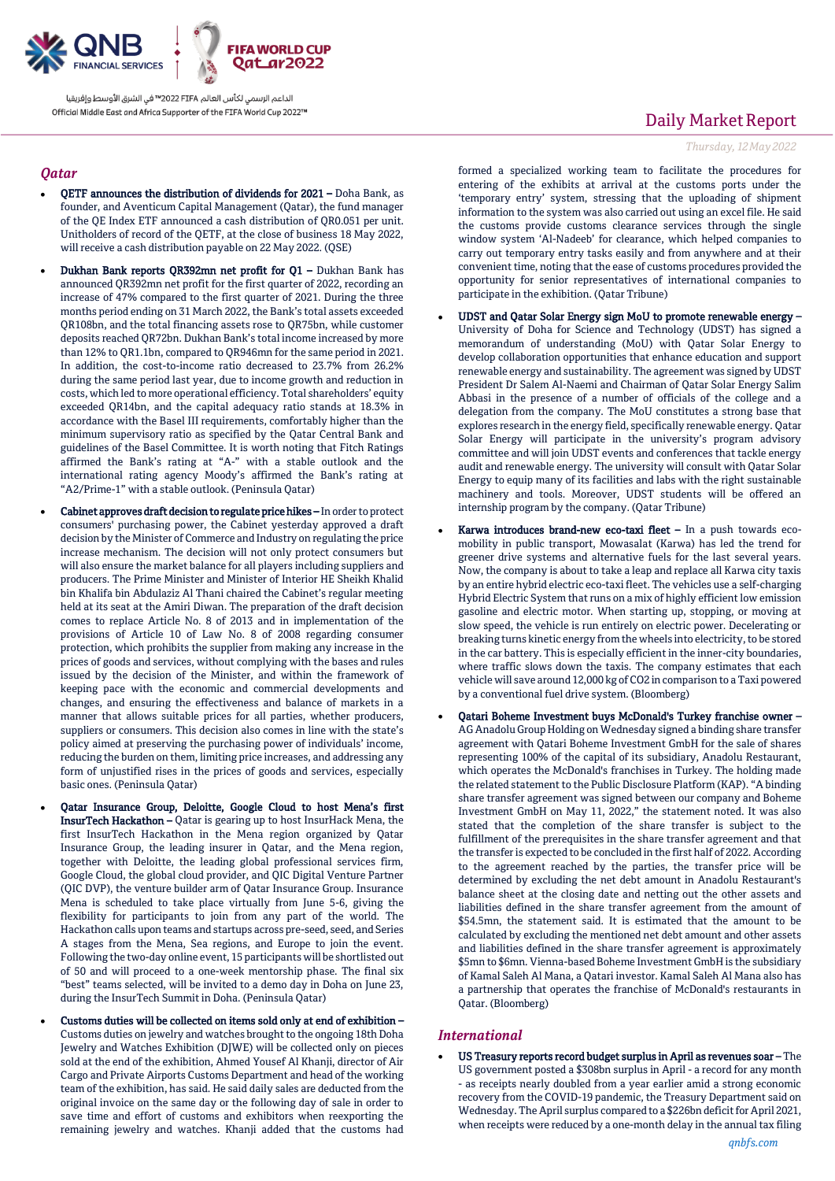

#### *Qatar*

- QETF announces the distribution of dividends for 2021 Doha Bank, as founder, and Aventicum Capital Management (Qatar), the fund manager of the QE Index ETF announced a cash distribution of QR0.051 per unit. Unitholders of record of the QETF, at the close of business 18 May 2022, will receive a cash distribution payable on 22 May 2022. (QSE)
- Dukhan Bank reports QR392mn net profit for Q1 Dukhan Bank has announced QR392mn net profit for the first quarter of 2022, recording an increase of 47% compared to the first quarter of 2021. During the three months period ending on 31 March 2022, the Bank's total assets exceeded QR108bn, and the total financing assets rose to QR75bn, while customer deposits reached QR72bn. Dukhan Bank's total income increased by more than 12% to QR1.1bn, compared to QR946mn for the same period in 2021. In addition, the cost-to-income ratio decreased to 23.7% from 26.2% during the same period last year, due to income growth and reduction in costs, which led to more operational efficiency. Total shareholders' equity exceeded QR14bn, and the capital adequacy ratio stands at 18.3% in accordance with the Basel III requirements, comfortably higher than the minimum supervisory ratio as specified by the Qatar Central Bank and guidelines of the Basel Committee. It is worth noting that Fitch Ratings affirmed the Bank's rating at "A-" with a stable outlook and the international rating agency Moody's affirmed the Bank's rating at "A2/Prime-1" with a stable outlook. (Peninsula Qatar)
- Cabinet approves draft decision to regulate price hikes In order to protect consumers' purchasing power, the Cabinet yesterday approved a draft decision by the Minister of Commerce and Industry on regulating the price increase mechanism. The decision will not only protect consumers but will also ensure the market balance for all players including suppliers and producers. The Prime Minister and Minister of Interior HE Sheikh Khalid bin Khalifa bin Abdulaziz Al Thani chaired the Cabinet's regular meeting held at its seat at the Amiri Diwan. The preparation of the draft decision comes to replace Article No. 8 of 2013 and in implementation of the provisions of Article 10 of Law No. 8 of 2008 regarding consumer protection, which prohibits the supplier from making any increase in the prices of goods and services, without complying with the bases and rules issued by the decision of the Minister, and within the framework of keeping pace with the economic and commercial developments and changes, and ensuring the effectiveness and balance of markets in a manner that allows suitable prices for all parties, whether producers, suppliers or consumers. This decision also comes in line with the state's policy aimed at preserving the purchasing power of individuals' income, reducing the burden on them, limiting price increases, and addressing any form of unjustified rises in the prices of goods and services, especially basic ones. (Peninsula Qatar)
- Qatar Insurance Group, Deloitte, Google Cloud to host Mena's first InsurTech Hackathon – Qatar is gearing up to host InsurHack Mena, the first InsurTech Hackathon in the Mena region organized by Qatar Insurance Group, the leading insurer in Qatar, and the Mena region, together with Deloitte, the leading global professional services firm, Google Cloud, the global cloud provider, and QIC Digital Venture Partner (QIC DVP), the venture builder arm of Qatar Insurance Group. Insurance Mena is scheduled to take place virtually from June 5-6, giving the flexibility for participants to join from any part of the world. The Hackathon calls upon teams and startups across pre-seed, seed, and Series A stages from the Mena, Sea regions, and Europe to join the event. Following the two-day online event, 15 participants will be shortlisted out of 50 and will proceed to a one-week mentorship phase. The final six "best" teams selected, will be invited to a demo day in Doha on June 23, during the InsurTech Summit in Doha. (Peninsula Qatar)
- Customs duties will be collected on items sold only at end of exhibition Customs duties on jewelry and watches brought to the ongoing 18th Doha Jewelry and Watches Exhibition (DJWE) will be collected only on pieces sold at the end of the exhibition, Ahmed Yousef Al Khanji, director of Air Cargo and Private Airports Customs Department and head of the working team of the exhibition, has said. He said daily sales are deducted from the original invoice on the same day or the following day of sale in order to save time and effort of customs and exhibitors when reexporting the remaining jewelry and watches. Khanji added that the customs had

# Daily Market Report

#### *Thursday, 12May2022*

formed a specialized working team to facilitate the procedures for entering of the exhibits at arrival at the customs ports under the 'temporary entry' system, stressing that the uploading of shipment information to the system was also carried out using an excel file. He said the customs provide customs clearance services through the single window system 'Al-Nadeeb' for clearance, which helped companies to carry out temporary entry tasks easily and from anywhere and at their convenient time, noting that the ease of customs procedures provided the opportunity for senior representatives of international companies to participate in the exhibition. (Qatar Tribune)

- UDST and Qatar Solar Energy sign MoU to promote renewable energy University of Doha for Science and Technology (UDST) has signed a memorandum of understanding (MoU) with Qatar Solar Energy to develop collaboration opportunities that enhance education and support renewable energy and sustainability. The agreement was signed by UDST President Dr Salem Al-Naemi and Chairman of Qatar Solar Energy Salim Abbasi in the presence of a number of officials of the college and a delegation from the company. The MoU constitutes a strong base that explores research in the energy field, specifically renewable energy. Qatar Solar Energy will participate in the university's program advisory committee and will join UDST events and conferences that tackle energy audit and renewable energy. The university will consult with Qatar Solar Energy to equip many of its facilities and labs with the right sustainable machinery and tools. Moreover, UDST students will be offered an internship program by the company. (Qatar Tribune)
- Karwa introduces brand-new eco-taxi fleet In a push towards ecomobility in public transport, Mowasalat (Karwa) has led the trend for greener drive systems and alternative fuels for the last several years. Now, the company is about to take a leap and replace all Karwa city taxis by an entire hybrid electric eco-taxi fleet. The vehicles use a self-charging Hybrid Electric System that runs on a mix of highly efficient low emission gasoline and electric motor. When starting up, stopping, or moving at slow speed, the vehicle is run entirely on electric power. Decelerating or breaking turns kinetic energy from the wheels into electricity, to be stored in the car battery. This is especially efficient in the inner-city boundaries, where traffic slows down the taxis. The company estimates that each vehicle will save around 12,000 kg of CO2 in comparison to a Taxi powered by a conventional fuel drive system. (Bloomberg)
- Qatari Boheme Investment buys McDonald's Turkey franchise owner AG Anadolu Group Holding on Wednesday signed a binding share transfer agreement with Qatari Boheme Investment GmbH for the sale of shares representing 100% of the capital of its subsidiary, Anadolu Restaurant, which operates the McDonald's franchises in Turkey. The holding made the related statement to the Public Disclosure Platform (KAP). "A binding share transfer agreement was signed between our company and Boheme Investment GmbH on May 11, 2022," the statement noted. It was also stated that the completion of the share transfer is subject to the fulfillment of the prerequisites in the share transfer agreement and that the transfer is expected to be concluded in the first half of 2022. According to the agreement reached by the parties, the transfer price will be determined by excluding the net debt amount in Anadolu Restaurant's balance sheet at the closing date and netting out the other assets and liabilities defined in the share transfer agreement from the amount of \$54.5mn, the statement said. It is estimated that the amount to be calculated by excluding the mentioned net debt amount and other assets and liabilities defined in the share transfer agreement is approximately \$5mn to \$6mn. Vienna-based Boheme Investment GmbH is the subsidiary of Kamal Saleh Al Mana, a Qatari investor. Kamal Saleh Al Mana also has a partnership that operates the franchise of McDonald's restaurants in Qatar. (Bloomberg)

#### *International*

 US Treasury reports record budget surplus in April as revenues soar – The US government posted a \$308bn surplus in April - a record for any month - as receipts nearly doubled from a year earlier amid a strong economic recovery from the COVID-19 pandemic, the Treasury Department said on Wednesday. The April surplus compared to a \$226bn deficit for April 2021, when receipts were reduced by a one-month delay in the annual tax filing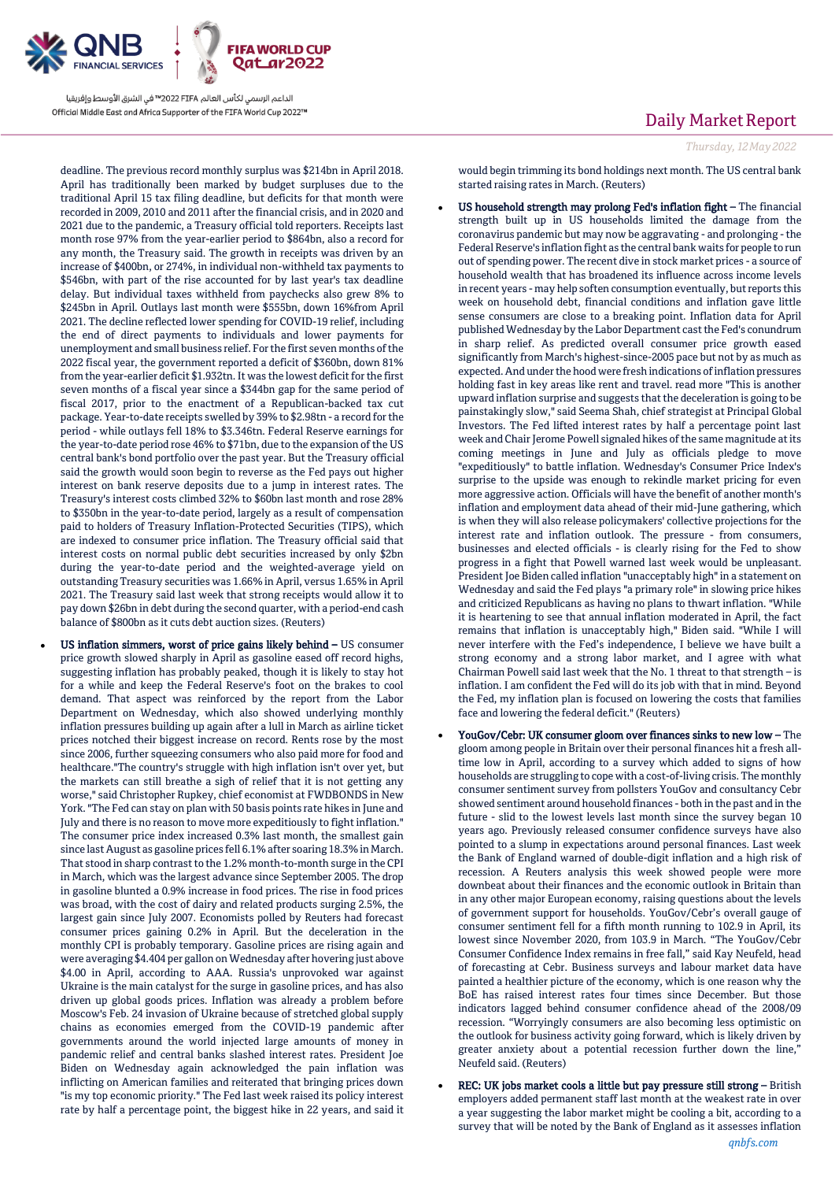

deadline. The previous record monthly surplus was \$214bn in April 2018. April has traditionally been marked by budget surpluses due to the traditional April 15 tax filing deadline, but deficits for that month were recorded in 2009, 2010 and 2011 after the financial crisis, and in 2020 and 2021 due to the pandemic, a Treasury official told reporters. Receipts last month rose 97% from the year-earlier period to \$864bn, also a record for any month, the Treasury said. The growth in receipts was driven by an increase of \$400bn, or 274%, in individual non-withheld tax payments to \$546bn, with part of the rise accounted for by last year's tax deadline delay. But individual taxes withheld from paychecks also grew 8% to \$245bn in April. Outlays last month were \$555bn, down 16%from April 2021. The decline reflected lower spending for COVID-19 relief, including the end of direct payments to individuals and lower payments for unemployment and small business relief. For the first seven months of the 2022 fiscal year, the government reported a deficit of \$360bn, down 81% from the year-earlier deficit \$1.932tn. It was the lowest deficit for the first seven months of a fiscal year since a \$344bn gap for the same period of fiscal 2017, prior to the enactment of a Republican-backed tax cut package. Year-to-date receipts swelled by 39% to \$2.98tn - a record for the period - while outlays fell 18% to \$3.346tn. Federal Reserve earnings for the year-to-date period rose 46% to \$71bn, due to the expansion of the US central bank's bond portfolio over the past year. But the Treasury official said the growth would soon begin to reverse as the Fed pays out higher interest on bank reserve deposits due to a jump in interest rates. The Treasury's interest costs climbed 32% to \$60bn last month and rose 28% to \$350bn in the year-to-date period, largely as a result of compensation paid to holders of Treasury Inflation-Protected Securities (TIPS), which are indexed to consumer price inflation. The Treasury official said that interest costs on normal public debt securities increased by only \$2bn during the year-to-date period and the weighted-average yield on outstanding Treasury securities was 1.66% in April, versus 1.65% in April 2021. The Treasury said last week that strong receipts would allow it to pay down \$26bn in debt during the second quarter, with a period-end cash balance of \$800bn as it cuts debt auction sizes. (Reuters)

 US inflation simmers, worst of price gains likely behind – US consumer price growth slowed sharply in April as gasoline eased off record highs, suggesting inflation has probably peaked, though it is likely to stay hot for a while and keep the Federal Reserve's foot on the brakes to cool demand. That aspect was reinforced by the report from the Labor Department on Wednesday, which also showed underlying monthly inflation pressures building up again after a lull in March as airline ticket prices notched their biggest increase on record. Rents rose by the most since 2006, further squeezing consumers who also paid more for food and healthcare."The country's struggle with high inflation isn't over yet, but the markets can still breathe a sigh of relief that it is not getting any worse," said Christopher Rupkey, chief economist at FWDBONDS in New York. "The Fed can stay on plan with 50 basis points rate hikes in June and July and there is no reason to move more expeditiously to fight inflation." The consumer price index increased 0.3% last month, the smallest gain since last August as gasoline prices fell 6.1% after soaring 18.3% in March. That stood in sharp contrast to the 1.2% month-to-month surge in the CPI in March, which was the largest advance since September 2005. The drop in gasoline blunted a 0.9% increase in food prices. The rise in food prices was broad, with the cost of dairy and related products surging 2.5%, the largest gain since July 2007. Economists polled by Reuters had forecast consumer prices gaining 0.2% in April. But the deceleration in the monthly CPI is probably temporary. Gasoline prices are rising again and were averaging \$4.404 per gallon on Wednesday after hovering just above \$4.00 in April, according to AAA. Russia's unprovoked war against Ukraine is the main catalyst for the surge in gasoline prices, and has also driven up global goods prices. Inflation was already a problem before Moscow's Feb. 24 invasion of Ukraine because of stretched global supply chains as economies emerged from the COVID-19 pandemic after governments around the world injected large amounts of money in pandemic relief and central banks slashed interest rates. President Joe Biden on Wednesday again acknowledged the pain inflation was inflicting on American families and reiterated that bringing prices down "is my top economic priority." The Fed last week raised its policy interest rate by half a percentage point, the biggest hike in 22 years, and said it

### Daily Market Report

would begin trimming its bond holdings next month. The US central bank started raising rates in March. (Reuters)

- US household strength may prolong Fed's inflation fight The financial strength built up in US households limited the damage from the coronavirus pandemic but may now be aggravating - and prolonging -the Federal Reserve's inflation fight as the central bank waits for people to run out of spending power. The recent dive in stock market prices - a source of household wealth that has broadened its influence across income levels in recent years - may help soften consumption eventually, but reports this week on household debt, financial conditions and inflation gave little sense consumers are close to a breaking point. Inflation data for April published Wednesday by the Labor Department cast the Fed's conundrum in sharp relief. As predicted overall consumer price growth eased significantly from March's highest-since-2005 pace but not by as much as expected. And under the hood were fresh indications of inflation pressures holding fast in key areas like rent and travel. read more "This is another upward inflation surprise and suggests that the deceleration is going to be painstakingly slow," said Seema Shah, chief strategist at Principal Global Investors. The Fed lifted interest rates by half a percentage point last week and Chair Jerome Powell signaled hikes of the same magnitude at its coming meetings in June and July as officials pledge to move "expeditiously" to battle inflation. Wednesday's Consumer Price Index's surprise to the upside was enough to rekindle market pricing for even more aggressive action. Officials will have the benefit of another month's inflation and employment data ahead of their mid-June gathering, which is when they will also release policymakers' collective projections for the interest rate and inflation outlook. The pressure - from consumers, businesses and elected officials - is clearly rising for the Fed to show progress in a fight that Powell warned last week would be unpleasant. President Joe Biden called inflation "unacceptably high" in a statement on Wednesday and said the Fed plays "a primary role" in slowing price hikes and criticized Republicans as having no plans to thwart inflation. "While it is heartening to see that annual inflation moderated in April, the fact remains that inflation is unacceptably high," Biden said. "While I will never interfere with the Fed's independence, I believe we have built a strong economy and a strong labor market, and I agree with what Chairman Powell said last week that the No. 1 threat to that strength – is inflation. I am confident the Fed will do its job with that in mind. Beyond the Fed, my inflation plan is focused on lowering the costs that families face and lowering the federal deficit." (Reuters)
- YouGov/Cebr: UK consumer gloom over finances sinks to new low The gloom among people in Britain over their personal finances hit a fresh alltime low in April, according to a survey which added to signs of how households are struggling to cope with a cost-of-living crisis. The monthly consumer sentiment survey from pollsters YouGov and consultancy Cebr showed sentiment around household finances - both in the past and in the future - slid to the lowest levels last month since the survey began 10 years ago. Previously released consumer confidence surveys have also pointed to a slump in expectations around personal finances. Last week the Bank of England warned of double-digit inflation and a high risk of recession. A Reuters analysis this week showed people were more downbeat about their finances and the economic outlook in Britain than in any other major European economy, raising questions about the levels of government support for households. YouGov/Cebr's overall gauge of consumer sentiment fell for a fifth month running to 102.9 in April, its lowest since November 2020, from 103.9 in March. "The YouGov/Cebr Consumer Confidence Index remains in free fall," said Kay Neufeld, head of forecasting at Cebr. Business surveys and labour market data have painted a healthier picture of the economy, which is one reason why the BoE has raised interest rates four times since December. But those indicators lagged behind consumer confidence ahead of the 2008/09 recession. "Worryingly consumers are also becoming less optimistic on the outlook for business activity going forward, which is likely driven by greater anxiety about a potential recession further down the line," Neufeld said. (Reuters)
- REC: UK jobs market cools a little but pay pressure still strong British employers added permanent staff last month at the weakest rate in over a year suggesting the labor market might be cooling a bit, according to a survey that will be noted by the Bank of England as it assesses inflation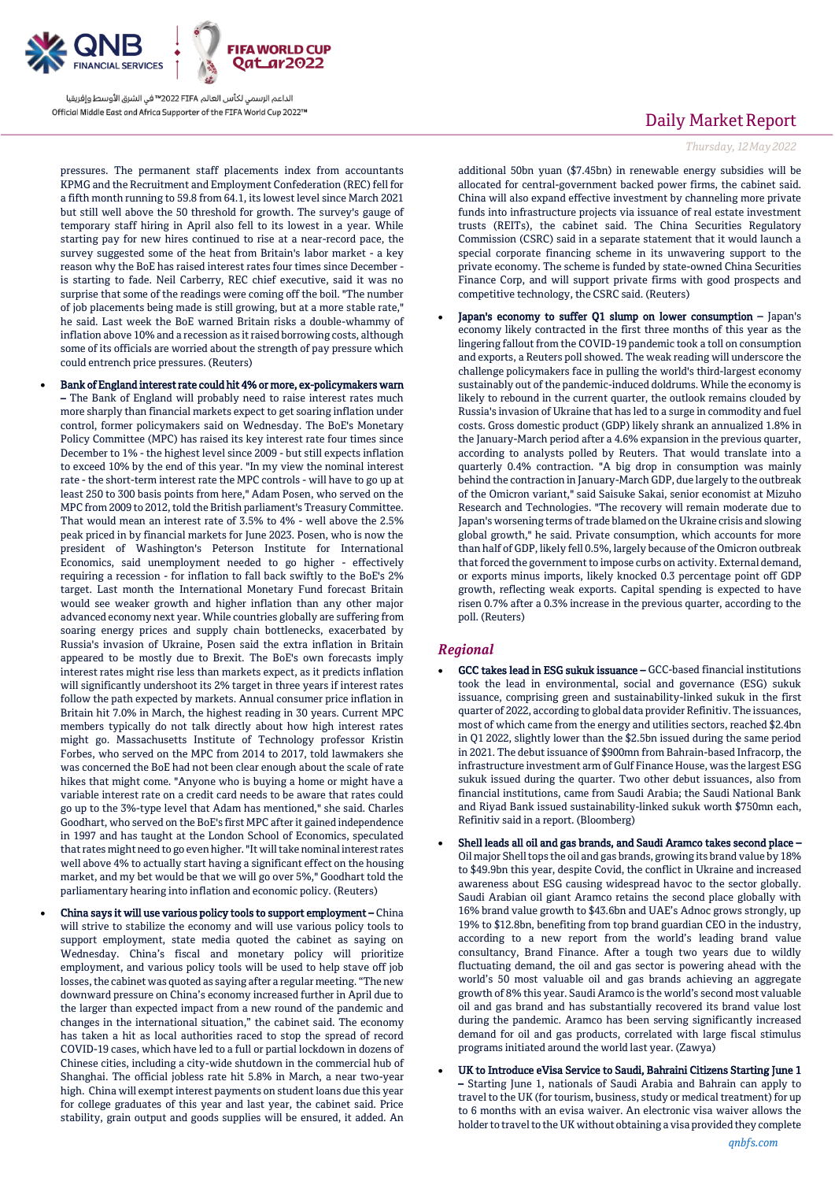

pressures. The permanent staff placements index from accountants KPMG and the Recruitment and Employment Confederation (REC) fell for a fifth month running to 59.8 from 64.1, its lowest level since March 2021 but still well above the 50 threshold for growth. The survey's gauge of temporary staff hiring in April also fell to its lowest in a year. While starting pay for new hires continued to rise at a near-record pace, the survey suggested some of the heat from Britain's labor market - a key reason why the BoE has raised interest rates four times since December is starting to fade. Neil Carberry, REC chief executive, said it was no surprise that some of the readings were coming off the boil. "The number of job placements being made is still growing, but at a more stable rate," he said. Last week the BoE warned Britain risks a double-whammy of inflation above 10% and a recession as it raised borrowing costs, although some of its officials are worried about the strength of pay pressure which could entrench price pressures. (Reuters)

 Bank of England interest rate could hit 4% or more, ex-policymakers warn – The Bank of England will probably need to raise interest rates much more sharply than financial markets expect to get soaring inflation under control, former policymakers said on Wednesday. The BoE's Monetary Policy Committee (MPC) has raised its key interest rate four times since December to 1% - the highest level since 2009 - but still expects inflation to exceed 10% by the end of this year. "In my view the nominal interest rate - the short-term interest rate the MPC controls - will have to go up at least 250 to 300 basis points from here," Adam Posen, who served on the MPC from 2009 to 2012, told the British parliament's Treasury Committee. That would mean an interest rate of 3.5% to 4% - well above the 2.5% peak priced in by financial markets for June 2023. Posen, who is now the president of Washington's Peterson Institute for International Economics, said unemployment needed to go higher - effectively requiring a recession - for inflation to fall back swiftly to the BoE's 2% target. Last month the International Monetary Fund forecast Britain would see weaker growth and higher inflation than any other major advanced economy next year. While countries globally are suffering from soaring energy prices and supply chain bottlenecks, exacerbated by Russia's invasion of Ukraine, Posen said the extra inflation in Britain appeared to be mostly due to Brexit. The BoE's own forecasts imply interest rates might rise less than markets expect, as it predicts inflation will significantly undershoot its 2% target in three years if interest rates follow the path expected by markets. Annual consumer price inflation in Britain hit 7.0% in March, the highest reading in 30 years. Current MPC members typically do not talk directly about how high interest rates might go. Massachusetts Institute of Technology professor Kristin Forbes, who served on the MPC from 2014 to 2017, told lawmakers she was concerned the BoE had not been clear enough about the scale of rate hikes that might come. "Anyone who is buying a home or might have a variable interest rate on a credit card needs to be aware that rates could go up to the 3%-type level that Adam has mentioned," she said. Charles Goodhart, who served on the BoE's first MPC after it gained independence in 1997 and has taught at the London School of Economics, speculated that rates might need to go even higher. "It will take nominal interest rates well above 4% to actually start having a significant effect on the housing market, and my bet would be that we will go over 5%," Goodhart told the parliamentary hearing into inflation and economic policy. (Reuters)

 China says it will use various policy tools to support employment – China will strive to stabilize the economy and will use various policy tools to support employment, state media quoted the cabinet as saying on Wednesday. China's fiscal and monetary policy will prioritize employment, and various policy tools will be used to help stave off job losses, the cabinet was quoted as saying after a regular meeting. "The new downward pressure on China's economy increased further in April due to the larger than expected impact from a new round of the pandemic and changes in the international situation," the cabinet said. The economy has taken a hit as local authorities raced to stop the spread of record COVID-19 cases, which have led to a full or partial lockdown in dozens of Chinese cities, including a city-wide shutdown in the commercial hub of Shanghai. The official jobless rate hit 5.8% in March, a near two-year high. China will exempt interest payments on student loans due this year for college graduates of this year and last year, the cabinet said. Price stability, grain output and goods supplies will be ensured, it added. An

## Daily Market Report

#### *Thursday, 12May2022*

additional 50bn yuan (\$7.45bn) in renewable energy subsidies will be allocated for central-government backed power firms, the cabinet said. China will also expand effective investment by channeling more private funds into infrastructure projects via issuance of real estate investment trusts (REITs), the cabinet said. The China Securities Regulatory Commission (CSRC) said in a separate statement that it would launch a special corporate financing scheme in its unwavering support to the private economy. The scheme is funded by state-owned China Securities Finance Corp, and will support private firms with good prospects and competitive technology, the CSRC said. (Reuters)

 Japan's economy to suffer Q1 slump on lower consumption – Japan's economy likely contracted in the first three months of this year as the lingering fallout from the COVID-19 pandemic took a toll on consumption and exports, a Reuters poll showed. The weak reading will underscore the challenge policymakers face in pulling the world's third-largest economy sustainably out of the pandemic-induced doldrums. While the economy is likely to rebound in the current quarter, the outlook remains clouded by Russia's invasion of Ukraine that has led to a surge in commodity and fuel costs. Gross domestic product (GDP) likely shrank an annualized 1.8% in the January-March period after a 4.6% expansion in the previous quarter, according to analysts polled by Reuters. That would translate into a quarterly 0.4% contraction. "A big drop in consumption was mainly behind the contraction in January-March GDP, due largely to the outbreak of the Omicron variant," said Saisuke Sakai, senior economist at Mizuho Research and Technologies. "The recovery will remain moderate due to Japan's worsening terms of trade blamed on the Ukraine crisis and slowing global growth," he said. Private consumption, which accounts for more than half of GDP, likely fell 0.5%, largely because of the Omicron outbreak that forced the government to impose curbs on activity. External demand, or exports minus imports, likely knocked 0.3 percentage point off GDP growth, reflecting weak exports. Capital spending is expected to have risen 0.7% after a 0.3% increase in the previous quarter, according to the poll. (Reuters)

#### *Regional*

- GCC takes lead in ESG sukuk issuance GCC-based financial institutions took the lead in environmental, social and governance (ESG) sukuk issuance, comprising green and sustainability-linked sukuk in the first quarter of 2022, according to global data provider Refinitiv. The issuances, most of which came from the energy and utilities sectors, reached \$2.4bn in Q1 2022, slightly lower than the \$2.5bn issued during the same period in 2021. The debut issuance of \$900mn from Bahrain-based Infracorp, the infrastructure investment arm of Gulf Finance House, was the largest ESG sukuk issued during the quarter. Two other debut issuances, also from financial institutions, came from Saudi Arabia; the Saudi National Bank and Riyad Bank issued sustainability-linked sukuk worth \$750mn each, Refinitiv said in a report. (Bloomberg)
- Shell leads all oil and gas brands, and Saudi Aramco takes second place Oil major Shell tops the oil and gas brands, growing its brand value by 18% to \$49.9bn this year, despite Covid, the conflict in Ukraine and increased awareness about ESG causing widespread havoc to the sector globally. Saudi Arabian oil giant Aramco retains the second place globally with 16% brand value growth to \$43.6bn and UAE's Adnoc grows strongly, up 19% to \$12.8bn, benefiting from top brand guardian CEO in the industry, according to a new report from the world's leading brand value consultancy, Brand Finance. After a tough two years due to wildly fluctuating demand, the oil and gas sector is powering ahead with the world's 50 most valuable oil and gas brands achieving an aggregate growth of 8% this year. Saudi Aramco is the world's second most valuable oil and gas brand and has substantially recovered its brand value lost during the pandemic. Aramco has been serving significantly increased demand for oil and gas products, correlated with large fiscal stimulus programs initiated around the world last year. (Zawya)
- UK to Introduce eVisa Service to Saudi, Bahraini Citizens Starting June 1 – Starting June 1, nationals of Saudi Arabia and Bahrain can apply to travel to the UK (for tourism, business, study or medical treatment) for up to 6 months with an evisa waiver. An electronic visa waiver allows the holder to travel to the UK without obtaining a visa provided they complete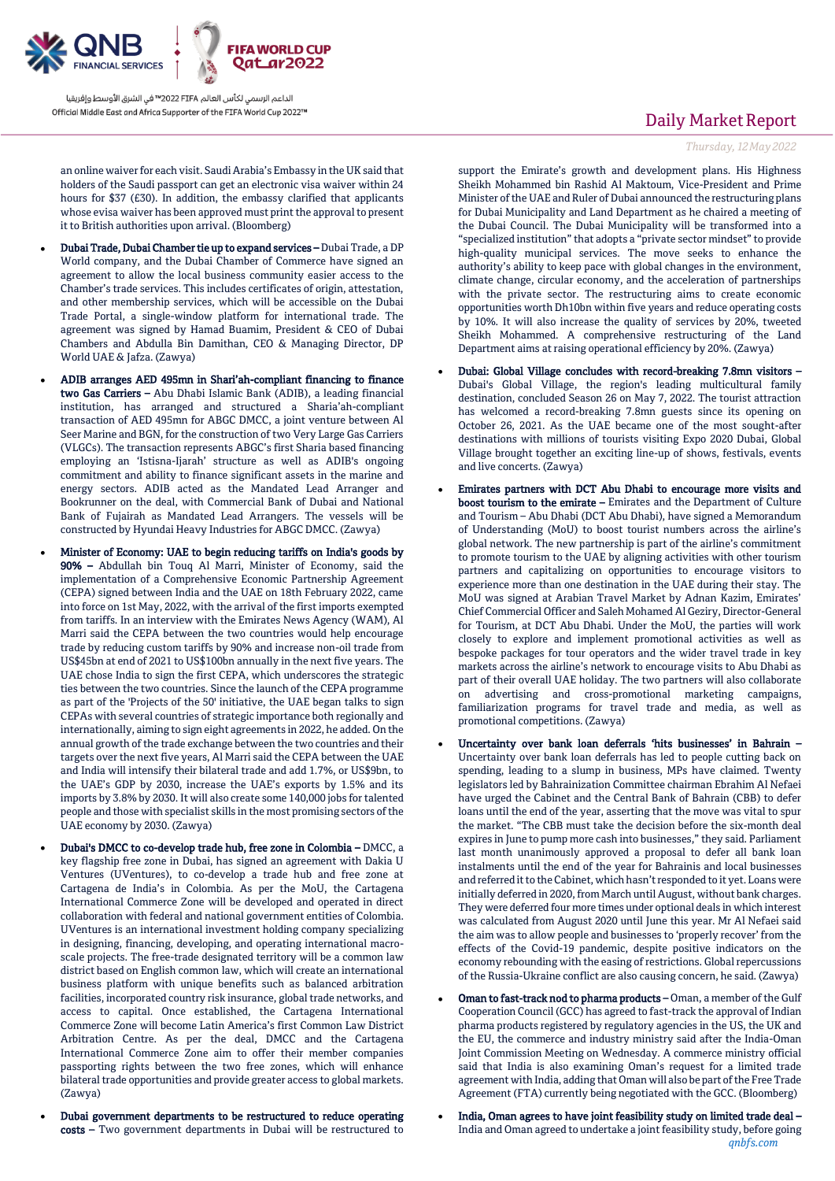

an online waiver for each visit. Saudi Arabia's Embassy in the UK said that holders of the Saudi passport can get an electronic visa waiver within 24 hours for \$37 (£30). In addition, the embassy clarified that applicants whose evisa waiver has been approved must print the approval to present it to British authorities upon arrival. (Bloomberg)

- Dubai Trade, Dubai Chamber tie up to expand services Dubai Trade, a DP World company, and the Dubai Chamber of Commerce have signed an agreement to allow the local business community easier access to the Chamber's trade services. This includes certificates of origin, attestation, and other membership services, which will be accessible on the Dubai Trade Portal, a single-window platform for international trade. The agreement was signed by Hamad Buamim, President & CEO of Dubai Chambers and Abdulla Bin Damithan, CEO & Managing Director, DP World UAE & Jafza. (Zawya)
- ADIB arranges AED 495mn in Shari'ah-compliant financing to finance two Gas Carriers – Abu Dhabi Islamic Bank (ADIB), a leading financial institution, has arranged and structured a Sharia'ah-compliant transaction of AED 495mn for ABGC DMCC, a joint venture between Al Seer Marine and BGN, for the construction of two Very Large Gas Carriers (VLGCs). The transaction represents ABGC's first Sharia based financing employing an 'Istisna-Ijarah' structure as well as ADIB's ongoing commitment and ability to finance significant assets in the marine and energy sectors. ADIB acted as the Mandated Lead Arranger and Bookrunner on the deal, with Commercial Bank of Dubai and National Bank of Fujairah as Mandated Lead Arrangers. The vessels will be constructed by Hyundai Heavy Industries for ABGC DMCC. (Zawya)
- Minister of Economy: UAE to begin reducing tariffs on India's goods by 90% – Abdullah bin Touq Al Marri, Minister of Economy, said the implementation of a Comprehensive Economic Partnership Agreement (CEPA) signed between India and the UAE on 18th February 2022, came into force on 1st May, 2022, with the arrival of the first imports exempted from tariffs. In an interview with the Emirates News Agency (WAM), Al Marri said the CEPA between the two countries would help encourage trade by reducing custom tariffs by 90% and increase non-oil trade from US\$45bn at end of 2021 to US\$100bn annually in the next five years. The UAE chose India to sign the first CEPA, which underscores the strategic ties between the two countries. Since the launch of the CEPA programme as part of the 'Projects of the 50' initiative, the UAE began talks to sign CEPAs with several countries of strategic importance both regionally and internationally, aiming to sign eight agreements in 2022, he added. On the annual growth of the trade exchange between the two countries and their targets over the next five years, Al Marri said the CEPA between the UAE and India will intensify their bilateral trade and add 1.7%, or US\$9bn, to the UAE's GDP by 2030, increase the UAE's exports by 1.5% and its imports by 3.8% by 2030. It will also create some 140,000 jobs for talented people and those with specialist skills in the most promising sectors of the UAE economy by 2030. (Zawya)
- Dubai's DMCC to co-develop trade hub, free zone in Colombia DMCC, a key flagship free zone in Dubai, has signed an agreement with Dakia U Ventures (UVentures), to co-develop a trade hub and free zone at Cartagena de India's in Colombia. As per the MoU, the Cartagena International Commerce Zone will be developed and operated in direct collaboration with federal and national government entities of Colombia. UVentures is an international investment holding company specializing in designing, financing, developing, and operating international macroscale projects. The free-trade designated territory will be a common law district based on English common law, which will create an international business platform with unique benefits such as balanced arbitration facilities, incorporated country risk insurance, global trade networks, and access to capital. Once established, the Cartagena International Commerce Zone will become Latin America's first Common Law District Arbitration Centre. As per the deal, DMCC and the Cartagena International Commerce Zone aim to offer their member companies passporting rights between the two free zones, which will enhance bilateral trade opportunities and provide greater access to global markets. (Zawya)
- Dubai government departments to be restructured to reduce operating costs – Two government departments in Dubai will be restructured to

### Daily Market Report

*Thursday, 12May2022*

support the Emirate's growth and development plans. His Highness Sheikh Mohammed bin Rashid Al Maktoum, Vice-President and Prime Minister of the UAE and Ruler of Dubai announced the restructuring plans for Dubai Municipality and Land Department as he chaired a meeting of the Dubai Council. The Dubai Municipality will be transformed into a "specialized institution" that adopts a "private sector mindset" to provide high-quality municipal services. The move seeks to enhance the authority's ability to keep pace with global changes in the environment, climate change, circular economy, and the acceleration of partnerships with the private sector. The restructuring aims to create economic opportunities worth Dh10bn within five years and reduce operating costs by 10%. It will also increase the quality of services by 20%, tweeted Sheikh Mohammed. A comprehensive restructuring of the Land Department aims at raising operational efficiency by 20%. (Zawya)

- Dubai: Global Village concludes with record-breaking 7.8mn visitors Dubai's Global Village, the region's leading multicultural family destination, concluded Season 26 on May 7, 2022. The tourist attraction has welcomed a record-breaking 7.8mn guests since its opening on October 26, 2021. As the UAE became one of the most sought-after destinations with millions of tourists visiting Expo 2020 Dubai, Global Village brought together an exciting line-up of shows, festivals, events and live concerts. (Zawya)
- Emirates partners with DCT Abu Dhabi to encourage more visits and boost tourism to the emirate – Emirates and the Department of Culture and Tourism – Abu Dhabi (DCT Abu Dhabi), have signed a Memorandum of Understanding (MoU) to boost tourist numbers across the airline's global network. The new partnership is part of the airline's commitment to promote tourism to the UAE by aligning activities with other tourism partners and capitalizing on opportunities to encourage visitors to experience more than one destination in the UAE during their stay. The MoU was signed at Arabian Travel Market by Adnan Kazim, Emirates' Chief Commercial Officer and Saleh Mohamed Al Geziry, Director-General for Tourism, at DCT Abu Dhabi. Under the MoU, the parties will work closely to explore and implement promotional activities as well as bespoke packages for tour operators and the wider travel trade in key markets across the airline's network to encourage visits to Abu Dhabi as part of their overall UAE holiday. The two partners will also collaborate on advertising and cross-promotional marketing campaigns, familiarization programs for travel trade and media, as well as promotional competitions. (Zawya)
- Uncertainty over bank loan deferrals 'hits businesses' in Bahrain Uncertainty over bank loan deferrals has led to people cutting back on spending, leading to a slump in business, MPs have claimed. Twenty legislators led by Bahrainization Committee chairman Ebrahim Al Nefaei have urged the Cabinet and the Central Bank of Bahrain (CBB) to defer loans until the end of the year, asserting that the move was vital to spur the market. "The CBB must take the decision before the six-month deal expires in June to pump more cash into businesses," they said. Parliament last month unanimously approved a proposal to defer all bank loan instalments until the end of the year for Bahrainis and local businesses and referred it to the Cabinet, which hasn't responded to it yet. Loans were initially deferred in 2020, from March until August, without bank charges. They were deferred four more times under optional deals in which interest was calculated from August 2020 until June this year. Mr Al Nefaei said the aim was to allow people and businesses to 'properly recover' from the effects of the Covid-19 pandemic, despite positive indicators on the economy rebounding with the easing of restrictions. Global repercussions of the Russia-Ukraine conflict are also causing concern, he said. (Zawya)
- Oman to fast-track nod to pharma products Oman, a member of the Gulf Cooperation Council (GCC) has agreed to fast-track the approval of Indian pharma products registered by regulatory agencies in the US, the UK and the EU, the commerce and industry ministry said after the India-Oman Joint Commission Meeting on Wednesday. A commerce ministry official said that India is also examining Oman's request for a limited trade agreement with India, adding that Oman will also be part of the Free Trade Agreement (FTA) currently being negotiated with the GCC. (Bloomberg)
- *qnbfs.com* India, Oman agrees to have joint feasibility study on limited trade deal – India and Oman agreed to undertake a joint feasibility study, before going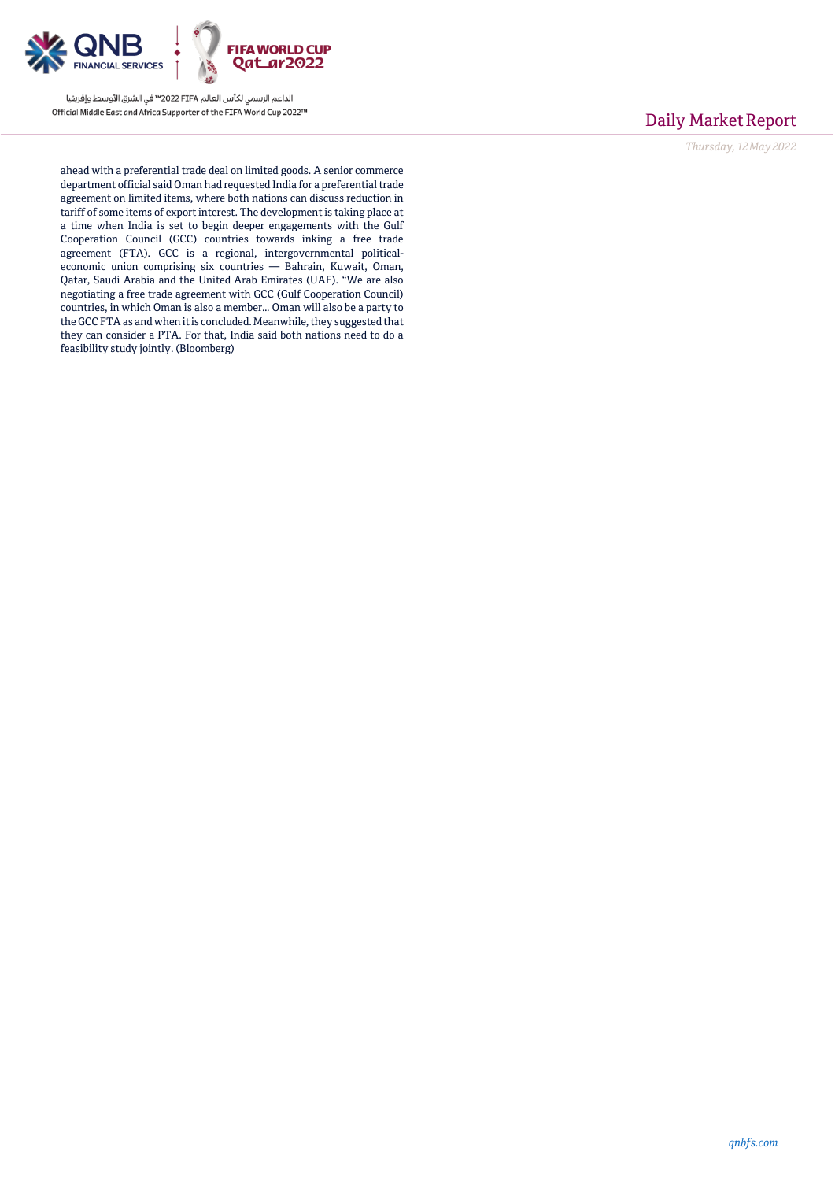

### Daily Market Report

*Thursday, 12May2022*

ahead with a preferential trade deal on limited goods. A senior commerce department official said Oman had requested India for a preferential trade agreement on limited items, where both nations can discuss reduction in tariff of some items of export interest. The development is taking place at a time when India is set to begin deeper engagements with the Gulf Cooperation Council (GCC) countries towards inking a free trade agreement (FTA). GCC is a regional, intergovernmental politicaleconomic union comprising six countries — Bahrain, Kuwait, Oman, Qatar, Saudi Arabia and the United Arab Emirates (UAE). "We are also negotiating a free trade agreement with GCC (Gulf Cooperation Council) countries, in which Oman is also a member… Oman will also be a party to the GCC FTA as and when it is concluded. Meanwhile, they suggested that they can consider a PTA. For that, India said both nations need to do a feasibility study jointly. (Bloomberg)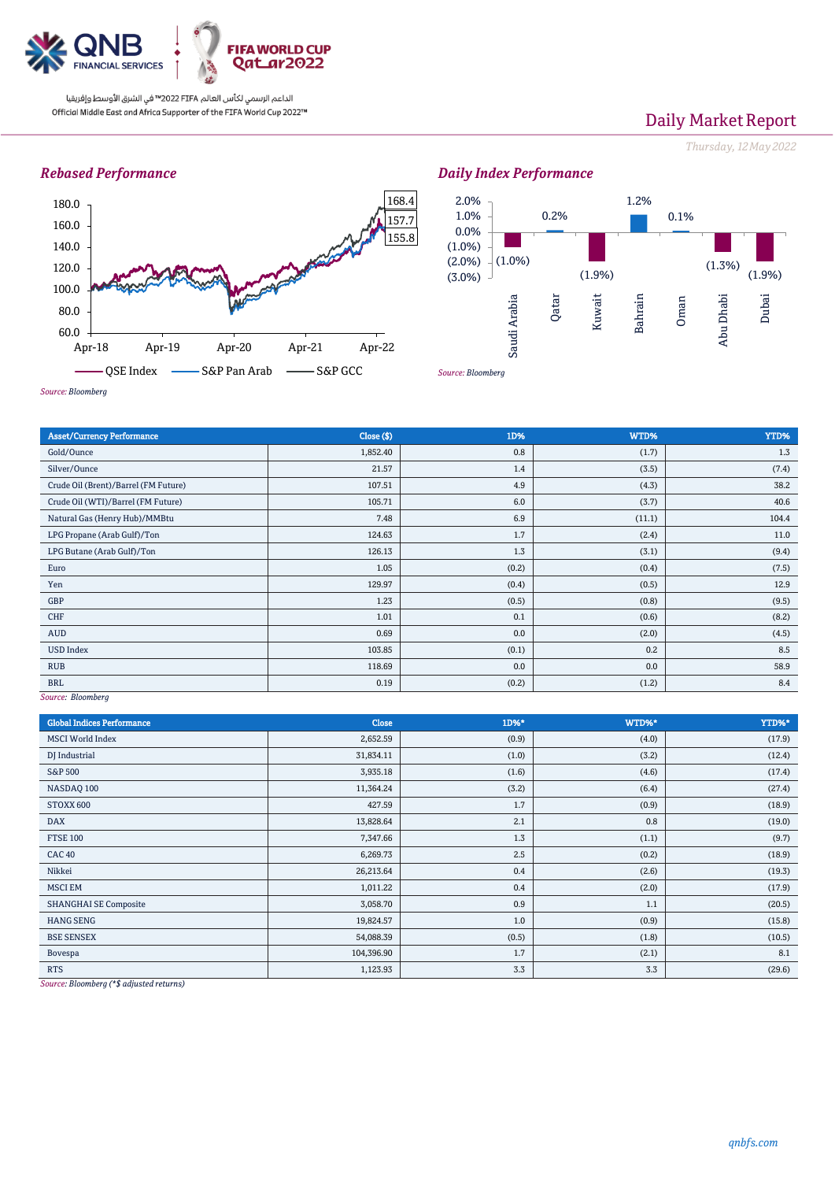

# Daily Market Report

*Thursday, 12May2022*

### *Rebased Performance*



#### *Daily Index Performance* 0.2% 1.2% 0.1% 1.0% 2.0%



*Source: Bloomberg*

| <b>Asset/Currency Performance</b>                      | Close ( \$) | 1D%   | WTD%   | YTD%  |  |  |
|--------------------------------------------------------|-------------|-------|--------|-------|--|--|
| Gold/Ounce                                             | 1,852.40    | 0.8   | (1.7)  | 1.3   |  |  |
| Silver/Ounce                                           | 21.57       | 1.4   | (3.5)  | (7.4) |  |  |
| Crude Oil (Brent)/Barrel (FM Future)                   | 107.51      | 4.9   | (4.3)  | 38.2  |  |  |
| Crude Oil (WTI)/Barrel (FM Future)                     | 105.71      | 6.0   | (3.7)  | 40.6  |  |  |
| Natural Gas (Henry Hub)/MMBtu                          | 7.48        | 6.9   | (11.1) | 104.4 |  |  |
| LPG Propane (Arab Gulf)/Ton                            | 124.63      | 1.7   | (2.4)  | 11.0  |  |  |
| LPG Butane (Arab Gulf)/Ton                             | 126.13      | 1.3   | (3.1)  | (9.4) |  |  |
| Euro                                                   | 1.05        | (0.2) | (0.4)  | (7.5) |  |  |
| Yen                                                    | 129.97      | (0.4) | (0.5)  | 12.9  |  |  |
| GBP                                                    | 1.23        | (0.5) | (0.8)  | (9.5) |  |  |
| CHF                                                    | 1.01        | 0.1   | (0.6)  | (8.2) |  |  |
| AUD                                                    | 0.69        | 0.0   | (2.0)  | (4.5) |  |  |
| <b>USD Index</b>                                       | 103.85      | (0.1) | 0.2    | 8.5   |  |  |
| <b>RUB</b>                                             | 118.69      | 0.0   | 0.0    | 58.9  |  |  |
| <b>BRL</b>                                             | 0.19        | (0.2) | (1.2)  | 8.4   |  |  |
| $C_{\alpha\mu\alpha\alpha}$ , $D_{\alpha\alpha}$ barsh |             |       |        |       |  |  |

*Source: Bloomberg*

*Source: Bloomberg*

| <b>Global Indices Performance</b>                                                                                             | Close      | 1D%*  | WTD%* | YTD%*  |
|-------------------------------------------------------------------------------------------------------------------------------|------------|-------|-------|--------|
| <b>MSCI World Index</b>                                                                                                       | 2,652.59   | (0.9) | (4.0) | (17.9) |
| DJ Industrial                                                                                                                 | 31,834.11  | (1.0) | (3.2) | (12.4) |
| <b>S&amp;P 500</b>                                                                                                            | 3,935.18   | (1.6) | (4.6) | (17.4) |
| NASDAQ 100                                                                                                                    | 11,364.24  | (3.2) | (6.4) | (27.4) |
| STOXX 600                                                                                                                     | 427.59     | 1.7   | (0.9) | (18.9) |
| <b>DAX</b>                                                                                                                    | 13,828.64  | 2.1   | 0.8   | (19.0) |
| <b>FTSE 100</b>                                                                                                               | 7,347.66   | 1.3   | (1.1) | (9.7)  |
| <b>CAC 40</b>                                                                                                                 | 6,269.73   | 2.5   | (0.2) | (18.9) |
| Nikkei                                                                                                                        | 26,213.64  | 0.4   | (2.6) | (19.3) |
| <b>MSCI EM</b>                                                                                                                | 1,011.22   | 0.4   | (2.0) | (17.9) |
| <b>SHANGHAI SE Composite</b>                                                                                                  | 3,058.70   | 0.9   | 1.1   | (20.5) |
| <b>HANG SENG</b>                                                                                                              | 19,824.57  | 1.0   | (0.9) | (15.8) |
| <b>BSE SENSEX</b>                                                                                                             | 54,088.39  | (0.5) | (1.8) | (10.5) |
| Bovespa                                                                                                                       | 104,396.90 | 1.7   | (2.1) | 8.1    |
| <b>RTS</b><br>the contract of the contract of the contract of the contract of the contract of the contract of the contract of | 1,123.93   | 3.3   | 3.3   | (29.6) |

*Source: Bloomberg (\*\$ adjusted returns)*